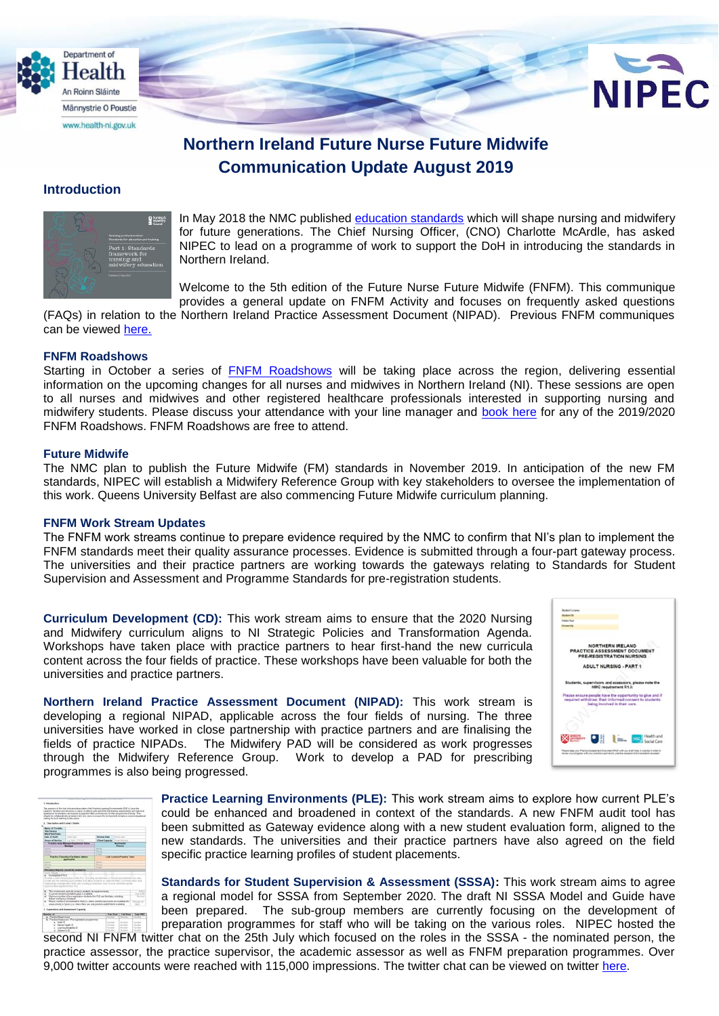



# **Northern Ireland Future Nurse Future Midwife Communication Update August 2019**

## **Introduction**



In May 2018 the NMC published [education standards](https://www.nmc.org.uk/education/standards-for-education2/) which will shape nursing and midwifery for future generations. The Chief Nursing Officer, (CNO) Charlotte McArdle, has asked NIPEC to lead on a programme of work to support the DoH in introducing the standards in Northern Ireland.

Welcome to the 5th edition of the Future Nurse Future Midwife (FNFM). This communique provides a general update on FNFM Activity and focuses on frequently asked questions

(FAQs) in relation to the Northern Ireland Practice Assessment Document (NIPAD). Previous FNFM communiques can be viewed [here.](https://nipec.hscni.net/service/fnfm/news/)

#### **FNFM Roadshows**

Starting in October a series of FNFM Roadshows will be taking place across the region, delivering essential information on the upcoming changes for all nurses and midwives in Northern Ireland (NI). These sessions are open to all nurses and midwives and other registered healthcare professionals interested in supporting nursing and midwifery students. Please discuss your attendance with your line manager and book here for any of the 2019/2020 FNFM Roadshows. FNFM Roadshows are free to attend.

## **Future Midwife**

The NMC plan to publish the Future Midwife (FM) standards in November 2019. In anticipation of the new FM standards, NIPEC will establish a Midwifery Reference Group with key stakeholders to oversee the implementation of this work. Queens University Belfast are also commencing Future Midwife curriculum planning.

#### **FNFM Work Stream Updates**

The FNFM work streams continue to prepare evidence required by the NMC to confirm that NI's plan to implement the FNFM standards meet their quality assurance processes. Evidence is submitted through a four-part gateway process. The universities and their practice partners are working towards the gateways relating to Standards for Student Supervision and Assessment and Programme Standards for pre-registration students.

**Curriculum Development (CD):** This work stream aims to ensure that the 2020 Nursing and Midwifery curriculum aligns to NI Strategic Policies and Transformation Agenda. Workshops have taken place with practice partners to hear first-hand the new curricula content across the four fields of practice. These workshops have been valuable for both the universities and practice partners.

**Northern Ireland Practice Assessment Document (NIPAD):** This work stream is developing a regional NIPAD, applicable across the four fields of nursing. The three universities have worked in close partnership with practice partners and are finalising the fields of practice NIPADs. The Midwifery PAD will be considered as work progresses through the Midwifery Reference Group. Work to develop a PAD for prescribing programmes is also being progressed.





**Practice Learning Environments (PLE):** This work stream aims to explore how current PLE's could be enhanced and broadened in context of the standards. A new FNFM audit tool has been submitted as Gateway evidence along with a new student evaluation form, aligned to the new standards. The universities and their practice partners have also agreed on the field specific practice learning profiles of student placements.

**Standards for Student Supervision & Assessment (SSSA):** This work stream aims to agree a regional model for SSSA from September 2020. The draft NI SSSA Model and Guide have been prepared. The sub-group members are currently focusing on the development of preparation programmes for staff who will be taking on the various roles. NIPEC hosted the second NI FNFM twitter chat on the 25th July which focused on the roles in the SSSA - the nominated person, the

practice assessor, the practice supervisor, the academic assessor as well as FNFM preparation programmes. Over 9,000 twitter accounts were reached with 115,000 impressions. The twitter chat can be viewed on twitter [here.](https://twitter.com/search?l=&q=%23nifnfm%20since%3A2019-07-24%20until%3A2019-07-26&src=typd&lang=en-gb)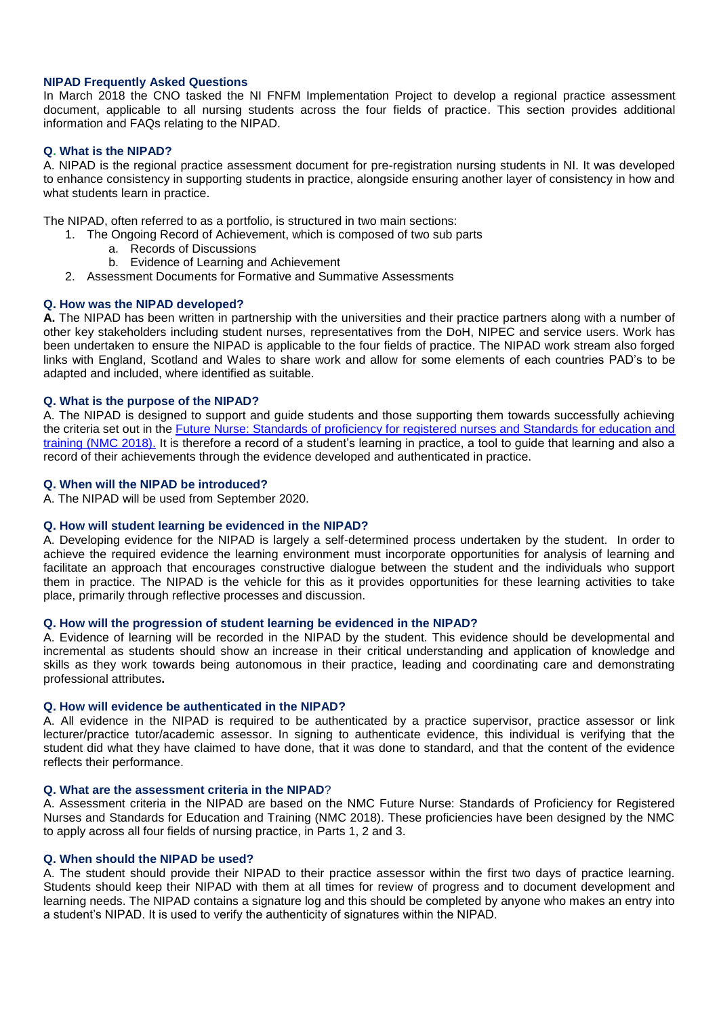## **NIPAD Frequently Asked Questions**

In March 2018 the CNO tasked the NI FNFM Implementation Project to develop a regional practice assessment document, applicable to all nursing students across the four fields of practice. This section provides additional information and FAQs relating to the NIPAD.

## **Q. What is the NIPAD?**

A. NIPAD is the regional practice assessment document for pre-registration nursing students in NI. It was developed to enhance consistency in supporting students in practice, alongside ensuring another layer of consistency in how and what students learn in practice.

The NIPAD, often referred to as a portfolio, is structured in two main sections:

- 1. The Ongoing Record of Achievement, which is composed of two sub parts
	- a. Records of Discussions
		- b. Evidence of Learning and Achievement
- 2. Assessment Documents for Formative and Summative Assessments

## **Q. How was the NIPAD developed?**

**A.** The NIPAD has been written in partnership with the universities and their practice partners along with a number of other key stakeholders including student nurses, representatives from the DoH, NIPEC and service users. Work has been undertaken to ensure the NIPAD is applicable to the four fields of practice. The NIPAD work stream also forged links with England, Scotland and Wales to share work and allow for some elements of each countries PAD's to be adapted and included, where identified as suitable.

## **Q. What is the purpose of the NIPAD?**

A. The NIPAD is designed to support and guide students and those supporting them towards successfully achieving the criteria set out in the [Future Nurse: Standards of proficiency for registered nurses and Standards for education and](https://www.nmc.org.uk/globalassets/sitedocuments/education-standards/future-nurse-proficiencies.pdf)  [training \(NMC 2018\).](https://www.nmc.org.uk/globalassets/sitedocuments/education-standards/future-nurse-proficiencies.pdf) It is therefore a record of a student's learning in practice, a tool to guide that learning and also a record of their achievements through the evidence developed and authenticated in practice.

#### **Q. When will the NIPAD be introduced?**

A. The NIPAD will be used from September 2020.

#### **Q. How will student learning be evidenced in the NIPAD?**

A. Developing evidence for the NIPAD is largely a self-determined process undertaken by the student. In order to achieve the required evidence the learning environment must incorporate opportunities for analysis of learning and facilitate an approach that encourages constructive dialogue between the student and the individuals who support them in practice. The NIPAD is the vehicle for this as it provides opportunities for these learning activities to take place, primarily through reflective processes and discussion.

#### **Q. How will the progression of student learning be evidenced in the NIPAD?**

A. Evidence of learning will be recorded in the NIPAD by the student. This evidence should be developmental and incremental as students should show an increase in their critical understanding and application of knowledge and skills as they work towards being autonomous in their practice, leading and coordinating care and demonstrating professional attributes**.**

#### **Q. How will evidence be authenticated in the NIPAD?**

A. All evidence in the NIPAD is required to be authenticated by a practice supervisor, practice assessor or link lecturer/practice tutor/academic assessor. In signing to authenticate evidence, this individual is verifying that the student did what they have claimed to have done, that it was done to standard, and that the content of the evidence reflects their performance.

#### **Q. What are the assessment criteria in the NIPAD**?

A. Assessment criteria in the NIPAD are based on the NMC Future Nurse: Standards of Proficiency for Registered Nurses and Standards for Education and Training (NMC 2018). These proficiencies have been designed by the NMC to apply across all four fields of nursing practice, in Parts 1, 2 and 3.

#### **Q. When should the NIPAD be used?**

A. The student should provide their NIPAD to their practice assessor within the first two days of practice learning. Students should keep their NIPAD with them at all times for review of progress and to document development and learning needs. The NIPAD contains a signature log and this should be completed by anyone who makes an entry into a student's NIPAD. It is used to verify the authenticity of signatures within the NIPAD.